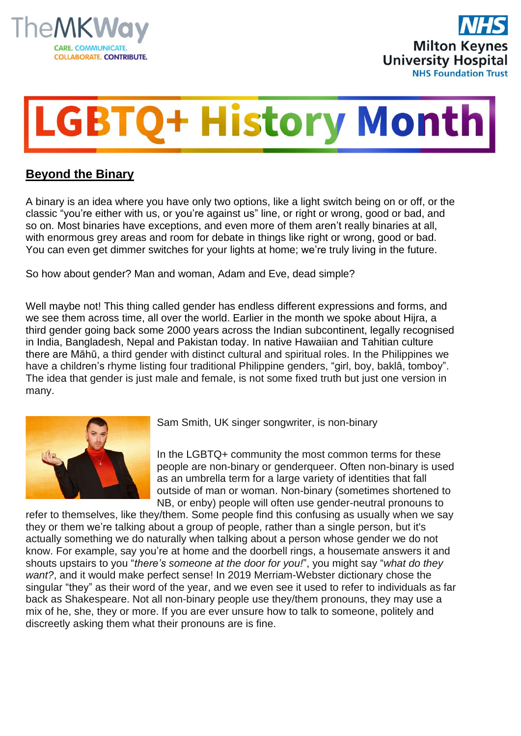



## **GBTQ+ History Month**

## **Beyond the Binary**

A binary is an idea where you have only two options, like a light switch being on or off, or the classic "you're either with us, or you're against us" line, or right or wrong, good or bad, and so on. Most binaries have exceptions, and even more of them aren't really binaries at all, with enormous grey areas and room for debate in things like right or wrong, good or bad. You can even get dimmer switches for your lights at home; we're truly living in the future.

So how about gender? Man and woman, Adam and Eve, dead simple?

Well maybe not! This thing called gender has endless different expressions and forms, and we see them across time, all over the world. Earlier in the month we spoke about Hijra, a third gender going back some 2000 years across the Indian subcontinent, legally recognised in India, Bangladesh, Nepal and Pakistan today. In native Hawaiian and Tahitian culture there are Māhū, a third gender with distinct cultural and spiritual roles. In the Philippines we have a children's rhyme listing four traditional Philippine genders, "girl, boy, baklâ, tomboy". The idea that gender is just male and female, is not some fixed truth but just one version in many.



Sam Smith, UK singer songwriter, is non-binary

In the LGBTQ+ community the most common terms for these people are non-binary or genderqueer. Often non-binary is used as an umbrella term for a large variety of identities that fall outside of man or woman. Non-binary (sometimes shortened to NB, or enby) people will often use gender-neutral pronouns to

refer to themselves, like they/them. Some people find this confusing as usually when we say they or them we're talking about a group of people, rather than a single person, but it's actually something we do naturally when talking about a person whose gender we do not know. For example, say you're at home and the doorbell rings, a housemate answers it and shouts upstairs to you "*there's someone at the door for you!*", you might say "*what do they want?*, and it would make perfect sense! In 2019 Merriam-Webster dictionary chose the singular "they" as their word of the year, and we even see it used to refer to individuals as far back as Shakespeare. Not all non-binary people use they/them pronouns, they may use a mix of he, she, they or more. If you are ever unsure how to talk to someone, politely and discreetly asking them what their pronouns are is fine.